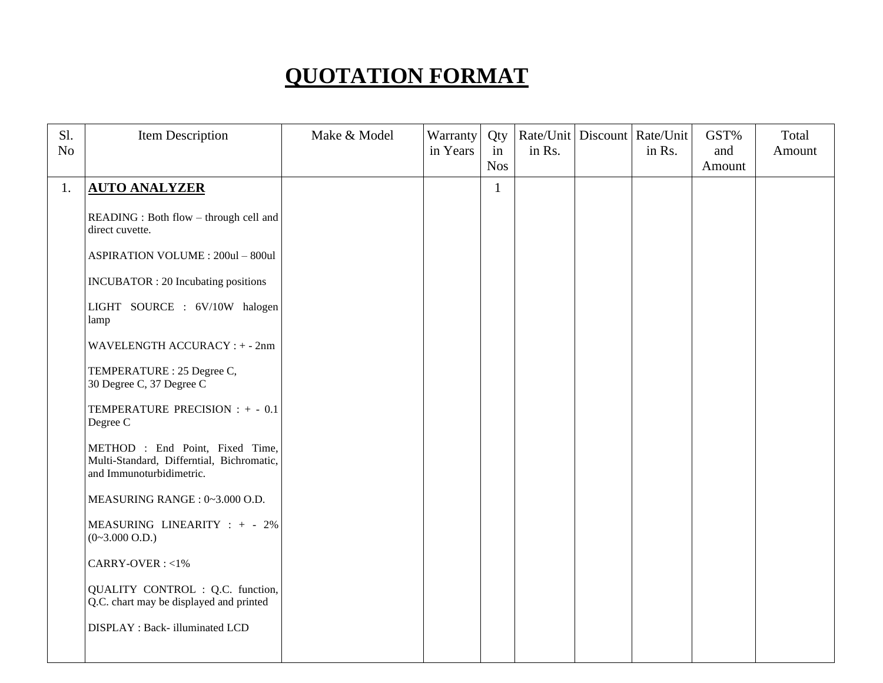## **QUOTATION FORMAT**

| Sl.<br>N <sub>o</sub> | Item Description                                                                                         | Make & Model | Warranty<br>in Years | Qty<br>in<br><b>Nos</b> | Rate/Unit   Discount   Rate/Unit<br>in Rs. | in Rs. | GST%<br>and<br>Amount | Total<br>Amount |
|-----------------------|----------------------------------------------------------------------------------------------------------|--------------|----------------------|-------------------------|--------------------------------------------|--------|-----------------------|-----------------|
| 1.                    | <b>AUTO ANALYZER</b>                                                                                     |              |                      | $\mathbf{1}$            |                                            |        |                       |                 |
|                       | READING : Both flow - through cell and<br>direct cuvette.                                                |              |                      |                         |                                            |        |                       |                 |
|                       | <b>ASPIRATION VOLUME : 200ul - 800ul</b>                                                                 |              |                      |                         |                                            |        |                       |                 |
|                       | <b>INCUBATOR</b> : 20 Incubating positions                                                               |              |                      |                         |                                            |        |                       |                 |
|                       | LIGHT SOURCE : 6V/10W halogen<br>lamp                                                                    |              |                      |                         |                                            |        |                       |                 |
|                       | WAVELENGTH ACCURACY : + - 2nm                                                                            |              |                      |                         |                                            |        |                       |                 |
|                       | TEMPERATURE : 25 Degree C,<br>30 Degree C, 37 Degree C                                                   |              |                      |                         |                                            |        |                       |                 |
|                       | TEMPERATURE PRECISION : + - 0.1<br>Degree C                                                              |              |                      |                         |                                            |        |                       |                 |
|                       | METHOD : End Point, Fixed Time,<br>Multi-Standard, Differntial, Bichromatic,<br>and Immunoturbidimetric. |              |                      |                         |                                            |        |                       |                 |
|                       | MEASURING RANGE: 0~3.000 O.D.                                                                            |              |                      |                         |                                            |        |                       |                 |
|                       | MEASURING LINEARITY : + - 2%<br>$(0~3.000$ O.D.)                                                         |              |                      |                         |                                            |        |                       |                 |
|                       | CARRY-OVER: <1%                                                                                          |              |                      |                         |                                            |        |                       |                 |
|                       | QUALITY CONTROL : Q.C. function,<br>Q.C. chart may be displayed and printed                              |              |                      |                         |                                            |        |                       |                 |
|                       | DISPLAY : Back- illuminated LCD                                                                          |              |                      |                         |                                            |        |                       |                 |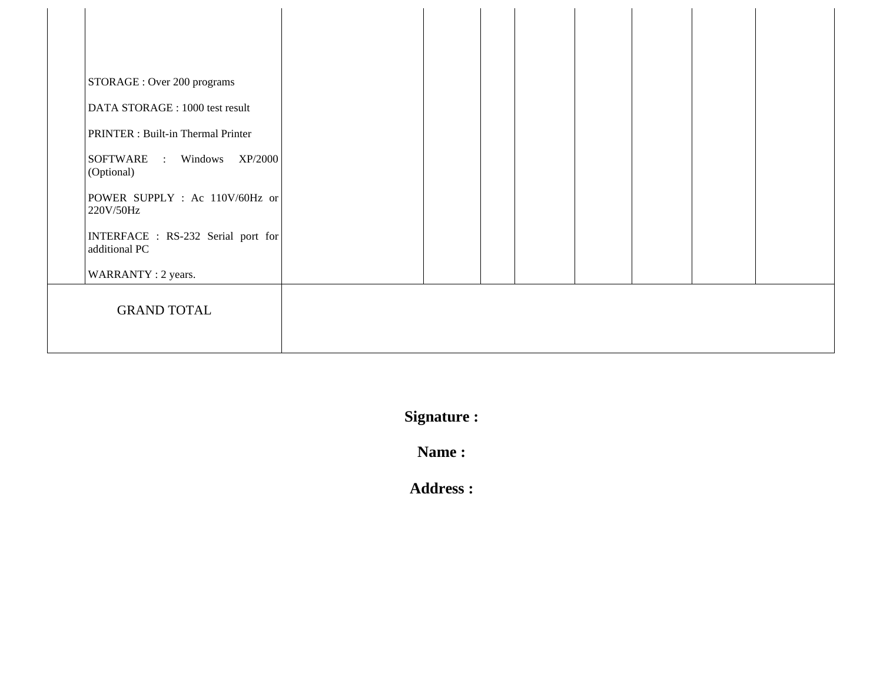| STORAGE : Over 200 programs                                           |  |  |  |  |
|-----------------------------------------------------------------------|--|--|--|--|
| DATA STORAGE : 1000 test result<br>PRINTER : Built-in Thermal Printer |  |  |  |  |
| SOFTWARE : Windows<br>XP/2000<br>(Optional)                           |  |  |  |  |
| POWER SUPPLY : Ac 110V/60Hz or<br>220V/50Hz                           |  |  |  |  |
| INTERFACE : RS-232 Serial port for<br>additional PC                   |  |  |  |  |
| WARRANTY: 2 years.                                                    |  |  |  |  |
| <b>GRAND TOTAL</b>                                                    |  |  |  |  |
|                                                                       |  |  |  |  |

**Signature :**

**Name :**

**Address :**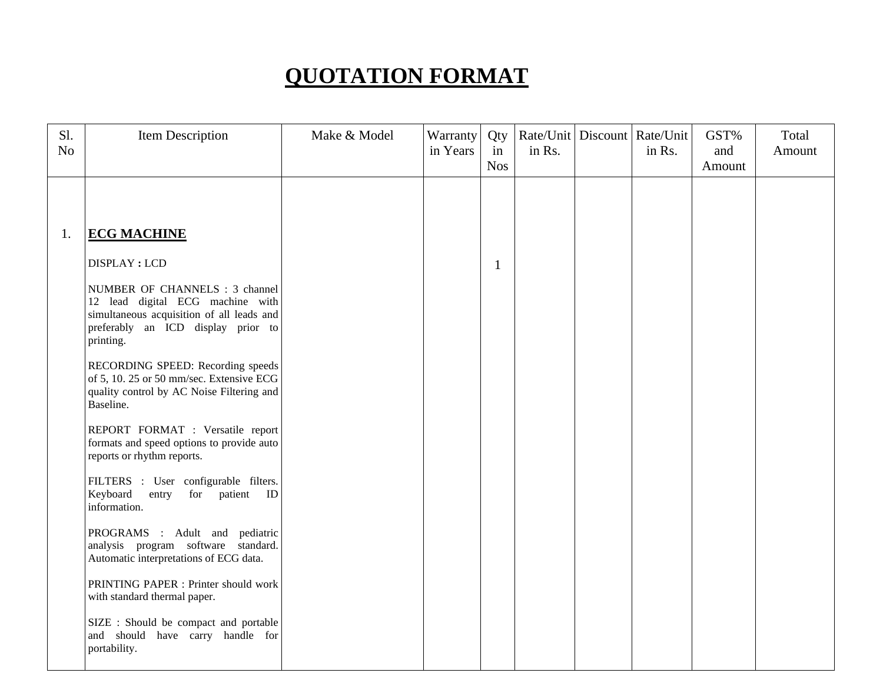## **QUOTATION FORMAT**

| Sl.            | Item Description                                                                                                                                                   | Make & Model | Warranty | Qty              | Rate/Unit   Discount   Rate/Unit |        | GST%          | Total  |
|----------------|--------------------------------------------------------------------------------------------------------------------------------------------------------------------|--------------|----------|------------------|----------------------------------|--------|---------------|--------|
| N <sub>o</sub> |                                                                                                                                                                    |              | in Years | in<br><b>Nos</b> | in Rs.                           | in Rs. | and<br>Amount | Amount |
|                |                                                                                                                                                                    |              |          |                  |                                  |        |               |        |
|                |                                                                                                                                                                    |              |          |                  |                                  |        |               |        |
| 1.             | <b>ECG MACHINE</b>                                                                                                                                                 |              |          |                  |                                  |        |               |        |
|                | <b>DISPLAY: LCD</b>                                                                                                                                                |              |          | $\mathbf{1}$     |                                  |        |               |        |
|                | NUMBER OF CHANNELS : 3 channel<br>12 lead digital ECG machine with<br>simultaneous acquisition of all leads and<br>preferably an ICD display prior to<br>printing. |              |          |                  |                                  |        |               |        |
|                | RECORDING SPEED: Recording speeds<br>of 5, 10. 25 or 50 mm/sec. Extensive ECG<br>quality control by AC Noise Filtering and<br>Baseline.                            |              |          |                  |                                  |        |               |        |
|                | REPORT FORMAT : Versatile report<br>formats and speed options to provide auto<br>reports or rhythm reports.                                                        |              |          |                  |                                  |        |               |        |
|                | FILTERS : User configurable filters.<br>Keyboard<br>for patient ID<br>entry<br>information.                                                                        |              |          |                  |                                  |        |               |        |
|                | PROGRAMS : Adult and pediatric<br>analysis program software standard.<br>Automatic interpretations of ECG data.                                                    |              |          |                  |                                  |        |               |        |
|                | PRINTING PAPER : Printer should work<br>with standard thermal paper.                                                                                               |              |          |                  |                                  |        |               |        |
|                | SIZE : Should be compact and portable<br>and should have carry handle for<br>portability.                                                                          |              |          |                  |                                  |        |               |        |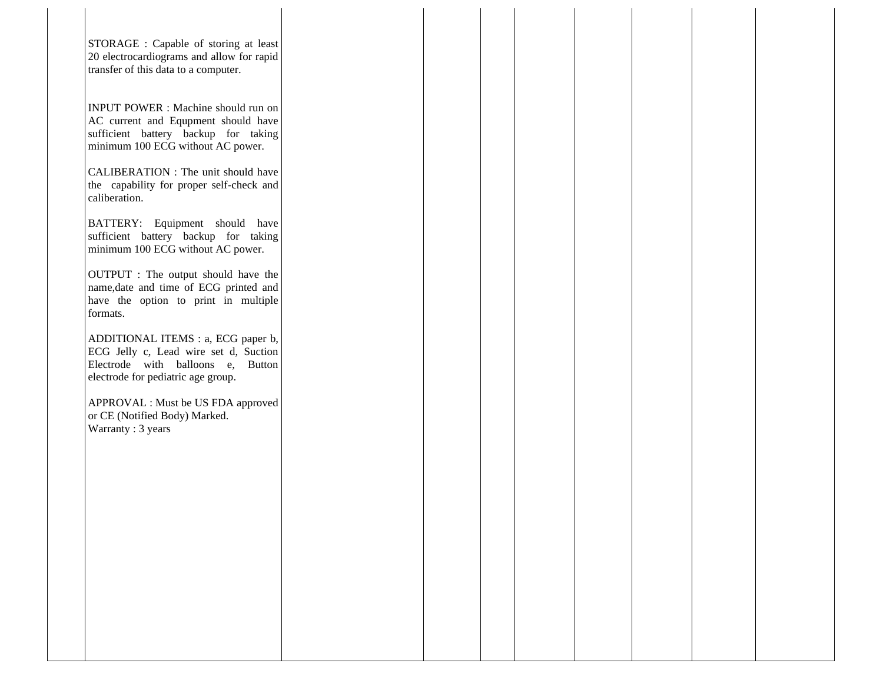STORAGE : Capable of storing at least 20 electrocardiograms and allow for rapid transfer of this data to a computer.

INPUT POWER : Machine should run on AC current and Equpment should have sufficient battery backup for taking minimum 100 ECG without AC power.

CALIBERATION : The unit should have the capability for proper self-check and caliberation.

BATTERY: Equipment should have sufficient battery backup for taking minimum 100 ECG without AC power.

OUTPUT : The output should have the name,date and time of ECG printed and have the option to print in multiple formats.

ADDITIONAL ITEMS : a, ECG paper b, ECG Jelly c, Lead wire set d, Suction Electrode with balloons e, Button electrode for pediatric age group.

APPROVAL : Must be US FDA approved or CE (Notified Body) Marked. Warranty : 3 years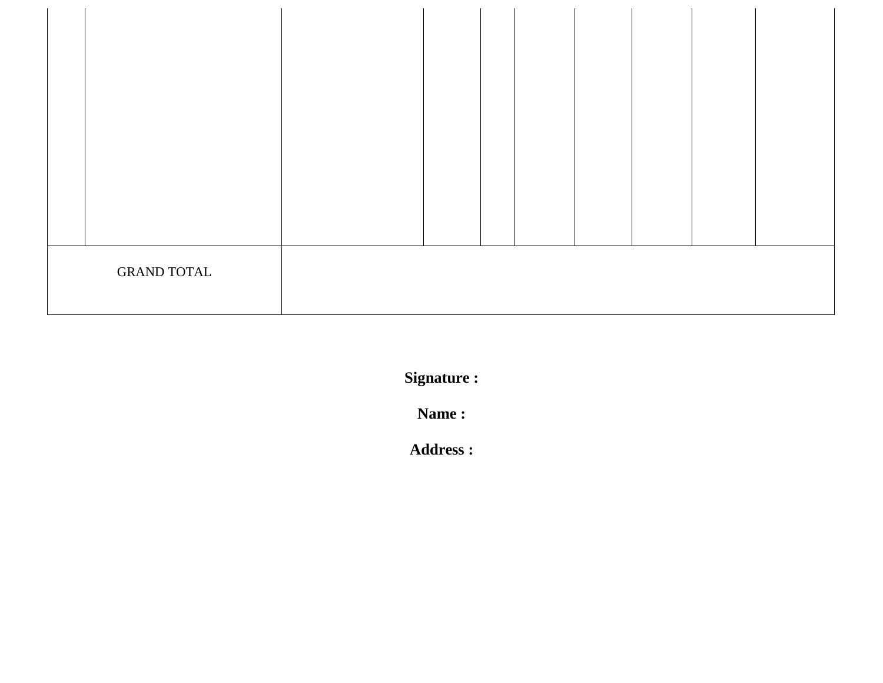| <b>GRAND TOTAL</b> |  |  |  |  |  |
|--------------------|--|--|--|--|--|

**Signature :**

**Name :**

**Address :**